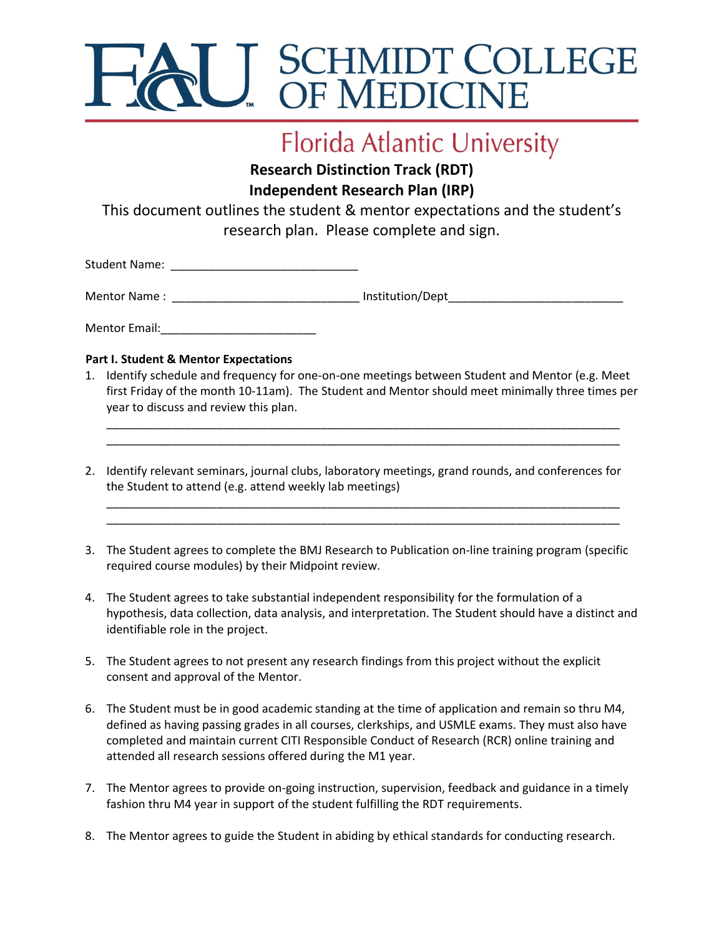

### Florida Atlantic University

**Research Distinction Track (RDT) Independent Research Plan (IRP)**

This document outlines the student & mentor expectations and the student's research plan. Please complete and sign.

Student Name: \_\_\_\_\_\_\_\_\_\_\_\_\_\_\_\_\_\_\_\_\_\_\_\_\_\_\_\_\_

Mentor Name : \_\_\_\_\_\_\_\_\_\_\_\_\_\_\_\_\_\_\_\_\_\_\_\_\_\_\_\_\_\_\_\_\_\_ Institution/Dept\_\_\_\_\_\_\_\_\_\_\_\_\_\_\_\_

Mentor Email:\_\_\_\_\_\_\_\_\_\_\_\_\_\_\_\_\_\_\_\_\_\_\_\_

### **Part I. Student & Mentor Expectations**

1. Identify schedule and frequency for one-on-one meetings between Student and Mentor (e.g. Meet first Friday of the month 10-11am). The Student and Mentor should meet minimally three times per year to discuss and review this plan.

\_\_\_\_\_\_\_\_\_\_\_\_\_\_\_\_\_\_\_\_\_\_\_\_\_\_\_\_\_\_\_\_\_\_\_\_\_\_\_\_\_\_\_\_\_\_\_\_\_\_\_\_\_\_\_\_\_\_\_\_\_\_\_\_\_\_\_\_\_\_\_\_\_\_\_\_\_\_\_ \_\_\_\_\_\_\_\_\_\_\_\_\_\_\_\_\_\_\_\_\_\_\_\_\_\_\_\_\_\_\_\_\_\_\_\_\_\_\_\_\_\_\_\_\_\_\_\_\_\_\_\_\_\_\_\_\_\_\_\_\_\_\_\_\_\_\_\_\_\_\_\_\_\_\_\_\_\_\_

2. Identify relevant seminars, journal clubs, laboratory meetings, grand rounds, and conferences for the Student to attend (e.g. attend weekly lab meetings)

\_\_\_\_\_\_\_\_\_\_\_\_\_\_\_\_\_\_\_\_\_\_\_\_\_\_\_\_\_\_\_\_\_\_\_\_\_\_\_\_\_\_\_\_\_\_\_\_\_\_\_\_\_\_\_\_\_\_\_\_\_\_\_\_\_\_\_\_\_\_\_\_\_\_\_\_\_\_\_ \_\_\_\_\_\_\_\_\_\_\_\_\_\_\_\_\_\_\_\_\_\_\_\_\_\_\_\_\_\_\_\_\_\_\_\_\_\_\_\_\_\_\_\_\_\_\_\_\_\_\_\_\_\_\_\_\_\_\_\_\_\_\_\_\_\_\_\_\_\_\_\_\_\_\_\_\_\_\_

- 3. The Student agrees to complete the BMJ Research to Publication on-line training program (specific required course modules) by their Midpoint review.
- 4. The Student agrees to take substantial independent responsibility for the formulation of a hypothesis, data collection, data analysis, and interpretation. The Student should have a distinct and identifiable role in the project.
- 5. The Student agrees to not present any research findings from this project without the explicit consent and approval of the Mentor.
- 6. The Student must be in good academic standing at the time of application and remain so thru M4, defined as having passing grades in all courses, clerkships, and USMLE exams. They must also have completed and maintain current CITI Responsible Conduct of Research (RCR) online training and attended all research sessions offered during the M1 year.
- 7. The Mentor agrees to provide on-going instruction, supervision, feedback and guidance in a timely fashion thru M4 year in support of the student fulfilling the RDT requirements.
- 8. The Mentor agrees to guide the Student in abiding by ethical standards for conducting research.